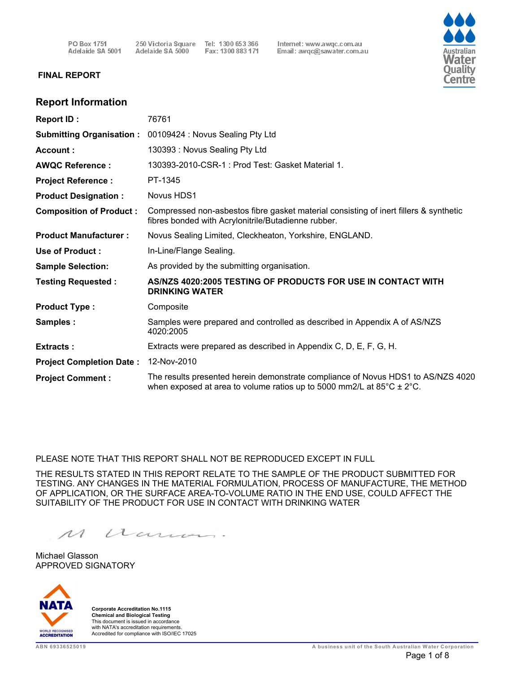250 Victoria Square Tel: 1300 653 366 Adelaide SA 5000 Fax: 1300 883 171 Internet: www.awqc.com.au Email: awqc@sawater.com.au



#### **FINAL REPORT**

### **Report Information**

| <b>Report ID:</b>               | 76761                                                                                                                                                                   |
|---------------------------------|-------------------------------------------------------------------------------------------------------------------------------------------------------------------------|
| <b>Submitting Organisation:</b> | 00109424 : Novus Sealing Pty Ltd                                                                                                                                        |
| Account:                        | 130393: Novus Sealing Pty Ltd                                                                                                                                           |
| <b>AWQC Reference:</b>          | 130393-2010-CSR-1 : Prod Test: Gasket Material 1.                                                                                                                       |
| <b>Project Reference:</b>       | PT-1345                                                                                                                                                                 |
| <b>Product Designation:</b>     | Novus HDS1                                                                                                                                                              |
| <b>Composition of Product:</b>  | Compressed non-asbestos fibre gasket material consisting of inert fillers & synthetic<br>fibres bonded with Acrylonitrile/Butadienne rubber.                            |
| <b>Product Manufacturer:</b>    | Novus Sealing Limited, Cleckheaton, Yorkshire, ENGLAND.                                                                                                                 |
| Use of Product:                 | In-Line/Flange Sealing.                                                                                                                                                 |
| <b>Sample Selection:</b>        | As provided by the submitting organisation.                                                                                                                             |
| <b>Testing Requested:</b>       | AS/NZS 4020:2005 TESTING OF PRODUCTS FOR USE IN CONTACT WITH<br><b>DRINKING WATER</b>                                                                                   |
| <b>Product Type:</b>            | Composite                                                                                                                                                               |
| Samples:                        | Samples were prepared and controlled as described in Appendix A of AS/NZS<br>4020:2005                                                                                  |
| <b>Extracts:</b>                | Extracts were prepared as described in Appendix C, D, E, F, G, H.                                                                                                       |
| <b>Project Completion Date:</b> | 12-Nov-2010                                                                                                                                                             |
| <b>Project Comment:</b>         | The results presented herein demonstrate compliance of Novus HDS1 to AS/NZS 4020<br>when exposed at area to volume ratios up to 5000 mm2/L at $85^{\circ}$ C $\pm$ 2°C. |

PLEASE NOTE THAT THIS REPORT SHALL NOT BE REPRODUCED EXCEPT IN FULL

THE RESULTS STATED IN THIS REPORT RELATE TO THE SAMPLE OF THE PRODUCT SUBMITTED FOR TESTING. ANY CHANGES IN THE MATERIAL FORMULATION, PROCESS OF MANUFACTURE, THE METHOD OF APPLICATION, OR THE SURFACE AREA-TO-VOLUME RATIO IN THE END USE, COULD AFFECT THE SUITABILITY OF THE PRODUCT FOR USE IN CONTACT WITH DRINKING WATER

 $\mathcal{M}$ acum.

APPROVED SIGNATORY Michael Glasson



**ABN 69336525019**<br>
This document is issued in accordance<br>
ABN 69336525019<br>
ABN 69336525019<br>
ABN 69336525019<br>
ABN 69336525019 **Corporate Accreditation No.1115 Chemical and Biological Testing** This document is issued in accordance<br>with NATA's accreditation requirements.<br>Accredited for compliance with ISO/IEC 17025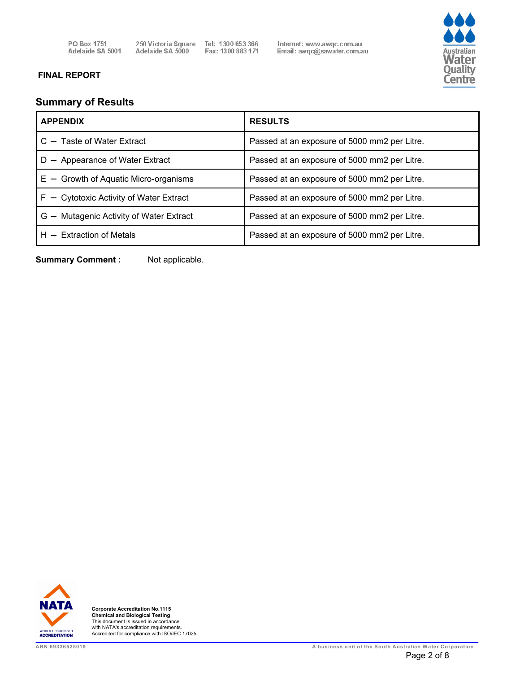250 Victoria Square Tel: 1300 653 366<br>Adelaide SA 5000 Fax: 1300 883 171

Internet: www.awqc.com.au<br>Email: awqc@sawater.com.au



# **FINAL REPORT**

# **Summary of Results**

| <b>APPENDIX</b>                           | <b>RESULTS</b>                               |
|-------------------------------------------|----------------------------------------------|
| $C -$ Taste of Water Extract              | Passed at an exposure of 5000 mm2 per Litre. |
| - Appearance of Water Extract<br>D.       | Passed at an exposure of 5000 mm2 per Litre. |
| $E -$ Growth of Aquatic Micro-organisms   | Passed at an exposure of 5000 mm2 per Litre. |
| $F -$ Cytotoxic Activity of Water Extract | Passed at an exposure of 5000 mm2 per Litre. |
| G - Mutagenic Activity of Water Extract   | Passed at an exposure of 5000 mm2 per Litre. |
| $H -$ Extraction of Metals                | Passed at an exposure of 5000 mm2 per Litre. |

**Summary Comment :** Not applicable.

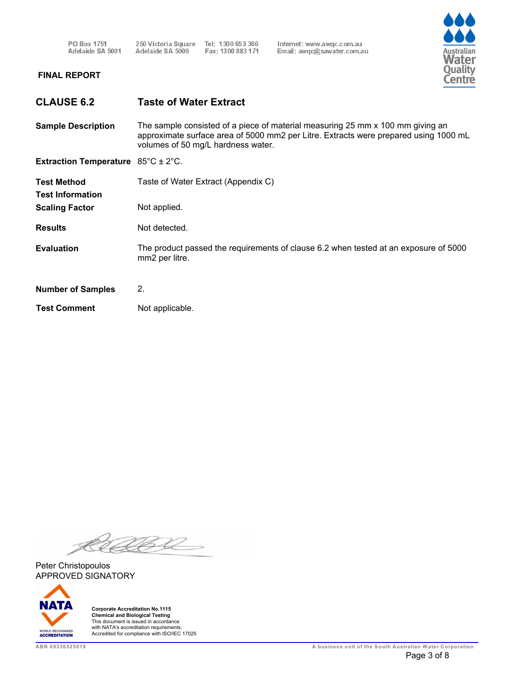250 Victoria Square Tel: 1300 653 366<br>Adelaide SA 5000 Fax: 1300 883 171 Fax: 1300 883 171 Internet: www.awqc.com.au Email: awqc@sawater.com.au



# **FINAL REPORT**

**Sample Description** The sample consisted of a piece of material measuring 25 mm x 100 mm giving an approximate surface area of 5000 mm2 per Litre. Extracts were prepared using 1000 mL volumes of 50 mg/L hardness water.

**Extraction Temperature** 85°C ± 2°C.

| <b>Test Method</b><br><b>Test Information</b><br><b>Scaling Factor</b> | Taste of Water Extract (Appendix C)<br>Not applied.                                                    |
|------------------------------------------------------------------------|--------------------------------------------------------------------------------------------------------|
| <b>Results</b>                                                         | Not detected.                                                                                          |
| <b>Evaluation</b>                                                      | The product passed the requirements of clause 6.2 when tested at an exposure of 5000<br>mm2 per litre. |
| <b>Number of Samples</b>                                               | 2.                                                                                                     |
| <b>Test Comment</b>                                                    | Not applicable.                                                                                        |

APPROVED SIGNATORY Peter Christopoulos

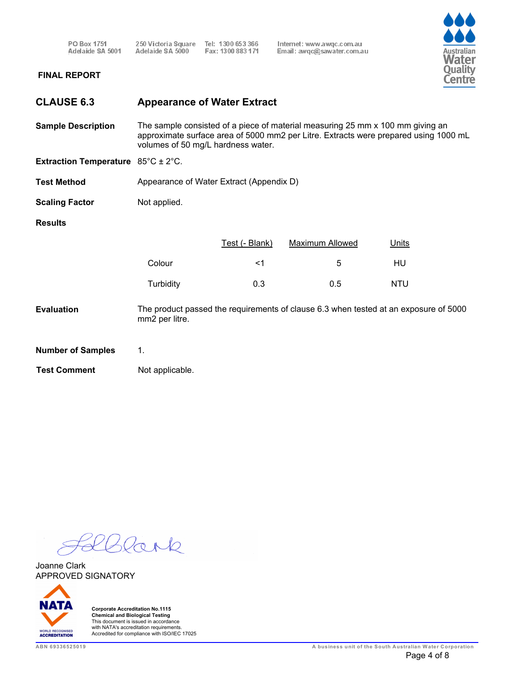PO Box 1751<br>Adelaide SA 5001 250 Victoria Square Tel: 1300 653 366<br>Adelaide SA 5000 Fax: 1300 883 171 Internet: www.awqc.com.au<br>Email: awqc@sawater.com.au



# **FINAL REPORT**

| <b>CLAUSE 6.3</b>                                   | <b>Appearance of Water Extract</b>       |                |                                                                                                                                                                        |            |
|-----------------------------------------------------|------------------------------------------|----------------|------------------------------------------------------------------------------------------------------------------------------------------------------------------------|------------|
| <b>Sample Description</b>                           | volumes of 50 mg/L hardness water.       |                | The sample consisted of a piece of material measuring 25 mm x 100 mm giving an<br>approximate surface area of 5000 mm2 per Litre. Extracts were prepared using 1000 mL |            |
| <b>Extraction Temperature</b> $85^{\circ}$ C ± 2°C. |                                          |                |                                                                                                                                                                        |            |
| <b>Test Method</b>                                  | Appearance of Water Extract (Appendix D) |                |                                                                                                                                                                        |            |
| <b>Scaling Factor</b>                               | Not applied.                             |                |                                                                                                                                                                        |            |
| <b>Results</b>                                      |                                          |                |                                                                                                                                                                        |            |
|                                                     |                                          | Test (- Blank) | <b>Maximum Allowed</b>                                                                                                                                                 | Units      |
|                                                     | Colour                                   | $<$ 1          | 5                                                                                                                                                                      | HU         |
|                                                     | Turbidity                                | 0.3            | 0.5                                                                                                                                                                    | <b>NTU</b> |
| <b>Evaluation</b>                                   | mm2 per litre.                           |                | The product passed the requirements of clause 6.3 when tested at an exposure of 5000                                                                                   |            |
| <b>Number of Samples</b>                            | 1.                                       |                |                                                                                                                                                                        |            |
| <b>Test Comment</b>                                 | Not applicable.                          |                |                                                                                                                                                                        |            |

 $\alpha$  $\geq$  $\Theta$ 

APPROVED SIGNATORY Joanne Clark

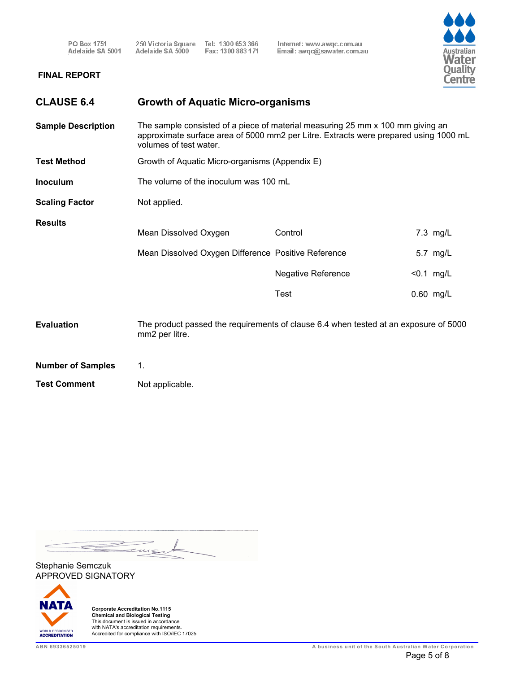250 Victoria Square Tel: 1300 653 366<br>Adelaide SA 5000 Fax: 1300 883 171

Internet: www.awqc.com.au<br>Email: awqc@sawater.com.au



# **FINAL REPORT**

| <b>CLAUSE 6.4</b>         | <b>Growth of Aquatic Micro-organisms</b>            |                                                                                                                                                                        |              |
|---------------------------|-----------------------------------------------------|------------------------------------------------------------------------------------------------------------------------------------------------------------------------|--------------|
| <b>Sample Description</b> | volumes of test water.                              | The sample consisted of a piece of material measuring 25 mm x 100 mm giving an<br>approximate surface area of 5000 mm2 per Litre. Extracts were prepared using 1000 mL |              |
| <b>Test Method</b>        | Growth of Aquatic Micro-organisms (Appendix E)      |                                                                                                                                                                        |              |
| Inoculum                  | The volume of the inoculum was 100 mL               |                                                                                                                                                                        |              |
| <b>Scaling Factor</b>     | Not applied.                                        |                                                                                                                                                                        |              |
| <b>Results</b>            | Mean Dissolved Oxygen                               | Control                                                                                                                                                                | 7.3 mg/L     |
|                           | Mean Dissolved Oxygen Difference Positive Reference |                                                                                                                                                                        | 5.7 mg/L     |
|                           |                                                     | <b>Negative Reference</b>                                                                                                                                              | $< 0.1$ mg/L |
|                           |                                                     | Test                                                                                                                                                                   | 0.60 mg/L    |
| <b>Evaluation</b>         | mm2 per litre.                                      | The product passed the requirements of clause 6.4 when tested at an exposure of 5000                                                                                   |              |
| <b>Number of Samples</b>  | 1.                                                  |                                                                                                                                                                        |              |
|                           |                                                     |                                                                                                                                                                        |              |

**Test Comment** Not applicable.

 $\qquad \qquad \Longleftrightarrow$ tws

APPROVED SIGNATORY Stephanie Semczuk

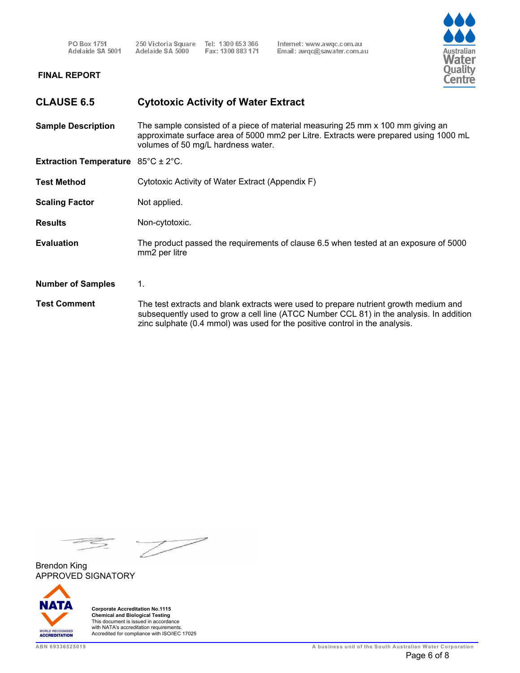Tel: 1300 653 366 250 Victoria Square Adelaide SA 5000 Fax: 1300 883 171

Internet: www.awgc.com.au Email: awqc@sawater.com.au



#### **FINAL REPORT**

# **CLAUSE 6.5 Cytotoxic Activity of Water Extract**

**Sample Description** The sample consisted of a piece of material measuring 25 mm x 100 mm giving an approximate surface area of 5000 mm2 per Litre. Extracts were prepared using 1000 mL volumes of 50 mg/L hardness water.

**Extraction Temperature** 85°C ± 2°C.

**Test Method** Cytotoxic Activity of Water Extract (Appendix F)

**Scaling Factor** Not applied.

**Results** Non-cytotoxic.

- **Evaluation** The product passed the requirements of clause 6.5 when tested at an exposure of 5000 mm2 per litre
- **Number of Samples** 1.
- The test extracts and blank extracts were used to prepare nutrient growth medium and subsequently used to grow a cell line (ATCC Number CCL 81) in the analysis. In addition zinc sulphate (0.4 mmol) was used for the positive control in the analysis. **Test Comment**

APPROVED SIGNATORY Brendon King

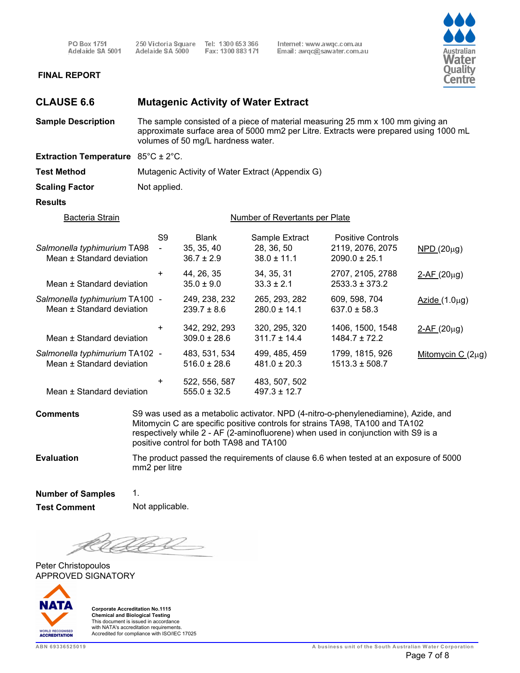250 Victoria Square Tel: 1300 653 366<br>Adelaide SA 5000 Fax: 1300 883 171

Internet: www.awqc.com.au<br>Email: awqc@sawater.com.au



#### **FINAL REPORT**

| <b>CLAUSE 6.6</b>                                           |                                                                                                                                                                                                              | <b>Mutagenic Activity of Water Extract</b>   |                                                 |                                                                                                                                                                                                                                                         |                        |
|-------------------------------------------------------------|--------------------------------------------------------------------------------------------------------------------------------------------------------------------------------------------------------------|----------------------------------------------|-------------------------------------------------|---------------------------------------------------------------------------------------------------------------------------------------------------------------------------------------------------------------------------------------------------------|------------------------|
| <b>Sample Description</b>                                   | The sample consisted of a piece of material measuring 25 mm x 100 mm giving an<br>approximate surface area of 5000 mm2 per Litre. Extracts were prepared using 1000 mL<br>volumes of 50 mg/L hardness water. |                                              |                                                 |                                                                                                                                                                                                                                                         |                        |
| <b>Extraction Temperature</b> $85^{\circ}$ C ± 2°C.         |                                                                                                                                                                                                              |                                              |                                                 |                                                                                                                                                                                                                                                         |                        |
| <b>Test Method</b>                                          | Mutagenic Activity of Water Extract (Appendix G)                                                                                                                                                             |                                              |                                                 |                                                                                                                                                                                                                                                         |                        |
| <b>Scaling Factor</b>                                       | Not applied.                                                                                                                                                                                                 |                                              |                                                 |                                                                                                                                                                                                                                                         |                        |
| <b>Results</b>                                              |                                                                                                                                                                                                              |                                              |                                                 |                                                                                                                                                                                                                                                         |                        |
| <b>Bacteria Strain</b>                                      |                                                                                                                                                                                                              |                                              | Number of Revertants per Plate                  |                                                                                                                                                                                                                                                         |                        |
| Salmonella typhimurium TA98<br>Mean ± Standard deviation    | S <sub>9</sub><br>$\blacksquare$                                                                                                                                                                             | <b>Blank</b><br>35, 35, 40<br>$36.7 \pm 2.9$ | Sample Extract<br>28, 36, 50<br>$38.0 \pm 11.1$ | <b>Positive Controls</b><br>2119, 2076, 2075<br>$2090.0 \pm 25.1$                                                                                                                                                                                       | $NPD(20\mu g)$         |
| Mean ± Standard deviation                                   | +                                                                                                                                                                                                            | 44, 26, 35<br>$35.0 \pm 9.0$                 | 34, 35, 31<br>$33.3 \pm 2.1$                    | 2707, 2105, 2788<br>$2533.3 \pm 373.2$                                                                                                                                                                                                                  | $2-AF (20µg)$          |
| Salmonella typhimurium TA100 -<br>Mean ± Standard deviation |                                                                                                                                                                                                              | 249, 238, 232<br>$239.7 \pm 8.6$             | 265, 293, 282<br>$280.0 \pm 14.1$               | 609, 598, 704<br>$637.0 \pm 58.3$                                                                                                                                                                                                                       | $Azide(1.0\mu g)$      |
| Mean ± Standard deviation                                   | +                                                                                                                                                                                                            | 342, 292, 293<br>$309.0 \pm 28.6$            | 320, 295, 320<br>$311.7 \pm 14.4$               | 1406, 1500, 1548<br>$1484.7 \pm 72.2$                                                                                                                                                                                                                   | $2-AF(20\mu g)$        |
| Salmonella typhimurium TA102 -<br>Mean ± Standard deviation |                                                                                                                                                                                                              | 483, 531, 534<br>$516.0 \pm 28.6$            | 499, 485, 459<br>$481.0 \pm 20.3$               | 1799, 1815, 926<br>$1513.3 \pm 508.7$                                                                                                                                                                                                                   | Mitomycin C $(2\mu g)$ |
| Mean ± Standard deviation                                   | +                                                                                                                                                                                                            | 522, 556, 587<br>$555.0 \pm 32.5$            | 483, 507, 502<br>$497.3 \pm 12.7$               |                                                                                                                                                                                                                                                         |                        |
| <b>Comments</b>                                             |                                                                                                                                                                                                              | positive control for both TA98 and TA100     |                                                 | S9 was used as a metabolic activator. NPD (4-nitro-o-phenylenediamine), Azide, and<br>Mitomycin C are specific positive controls for strains TA98, TA100 and TA102<br>respectively while 2 - AF (2-aminofluorene) when used in conjunction with S9 is a |                        |
| <b>Evaluation</b>                                           | mm2 per litre                                                                                                                                                                                                |                                              |                                                 | The product passed the requirements of clause 6.6 when tested at an exposure of 5000                                                                                                                                                                    |                        |
| <b>Number of Samples</b><br><b>Test Comment</b>             | 1.<br>Not applicable.                                                                                                                                                                                        |                                              |                                                 |                                                                                                                                                                                                                                                         |                        |
|                                                             |                                                                                                                                                                                                              |                                              |                                                 |                                                                                                                                                                                                                                                         |                        |

<u>UG V</u> K

APPROVED SIGNATORY Peter Christopoulos